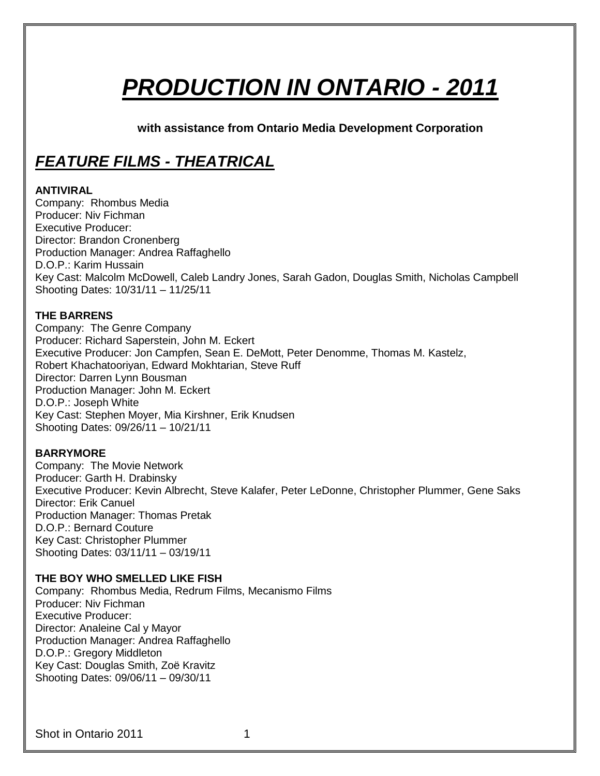# *PRODUCTION IN ONTARIO - 2011*

**with assistance from Ontario Media Development Corporation**

# *FEATURE FILMS - THEATRICAL*

# **ANTIVIRAL**

Company: Rhombus Media Producer: Niv Fichman Executive Producer: Director: Brandon Cronenberg Production Manager: Andrea Raffaghello D.O.P.: Karim Hussain Key Cast: Malcolm McDowell, Caleb Landry Jones, Sarah Gadon, Douglas Smith, Nicholas Campbell Shooting Dates: 10/31/11 – 11/25/11

# **THE BARRENS**

Company: The Genre Company Producer: Richard Saperstein, John M. Eckert Executive Producer: Jon Campfen, Sean E. DeMott, Peter Denomme, Thomas M. Kastelz, Robert Khachatooriyan, Edward Mokhtarian, Steve Ruff Director: Darren Lynn Bousman Production Manager: John M. Eckert D.O.P.: Joseph White Key Cast: Stephen Moyer, Mia Kirshner, Erik Knudsen Shooting Dates: 09/26/11 – 10/21/11

# **BARRYMORE**

Company: The Movie Network Producer: Garth H. Drabinsky Executive Producer: Kevin Albrecht, Steve Kalafer, Peter LeDonne, Christopher Plummer, Gene Saks Director: Erik Canuel Production Manager: Thomas Pretak D.O.P.: Bernard Couture Key Cast: Christopher Plummer Shooting Dates: 03/11/11 – 03/19/11

#### **THE BOY WHO SMELLED LIKE FISH**

Company: Rhombus Media, Redrum Films, Mecanismo Films Producer: Niv Fichman Executive Producer: Director: Analeine Cal y Mayor Production Manager: Andrea Raffaghello D.O.P.: Gregory Middleton Key Cast: Douglas Smith, Zoë Kravitz Shooting Dates: 09/06/11 – 09/30/11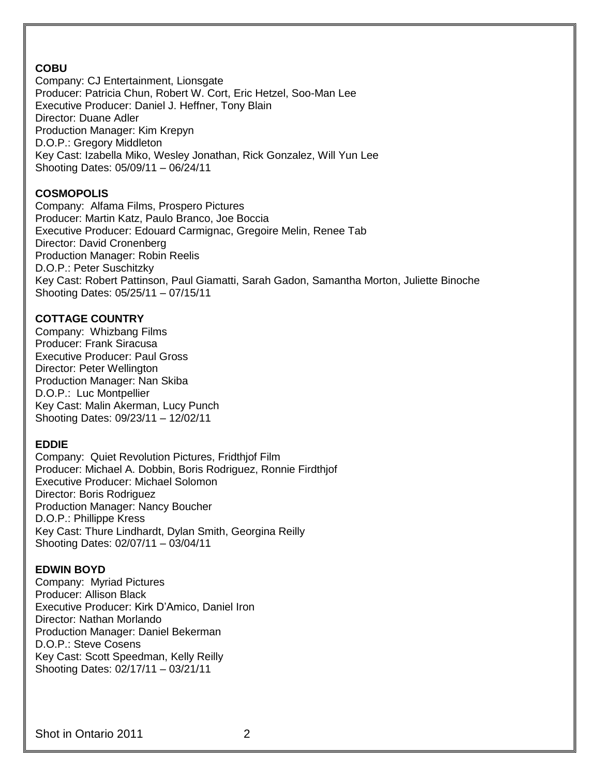#### **COBU**

Company: CJ Entertainment, Lionsgate Producer: Patricia Chun, Robert W. Cort, Eric Hetzel, Soo-Man Lee Executive Producer: Daniel J. Heffner, Tony Blain Director: Duane Adler Production Manager: Kim Krepyn D.O.P.: Gregory Middleton Key Cast: Izabella Miko, Wesley Jonathan, Rick Gonzalez, Will Yun Lee Shooting Dates: 05/09/11 – 06/24/11

# **COSMOPOLIS**

Company: Alfama Films, Prospero Pictures Producer: Martin Katz, Paulo Branco, Joe Boccia Executive Producer: Edouard Carmignac, Gregoire Melin, Renee Tab Director: David Cronenberg Production Manager: Robin Reelis D.O.P.: Peter Suschitzky Key Cast: Robert Pattinson, Paul Giamatti, Sarah Gadon, Samantha Morton, Juliette Binoche Shooting Dates: 05/25/11 – 07/15/11

# **COTTAGE COUNTRY**

Company: Whizbang Films Producer: Frank Siracusa Executive Producer: Paul Gross Director: Peter Wellington Production Manager: Nan Skiba D.O.P.: Luc Montpellier Key Cast: Malin Akerman, Lucy Punch Shooting Dates: 09/23/11 – 12/02/11

# **EDDIE**

Company: Quiet Revolution Pictures, Fridthjof Film Producer: Michael A. Dobbin, Boris Rodriguez, Ronnie Firdthjof Executive Producer: Michael Solomon Director: Boris Rodriguez Production Manager: Nancy Boucher D.O.P.: Phillippe Kress Key Cast: Thure Lindhardt, Dylan Smith, Georgina Reilly Shooting Dates: 02/07/11 – 03/04/11

#### **EDWIN BOYD**

Company: Myriad Pictures Producer: Allison Black Executive Producer: Kirk D'Amico, Daniel Iron Director: Nathan Morlando Production Manager: Daniel Bekerman D.O.P.: Steve Cosens Key Cast: Scott Speedman, Kelly Reilly Shooting Dates: 02/17/11 – 03/21/11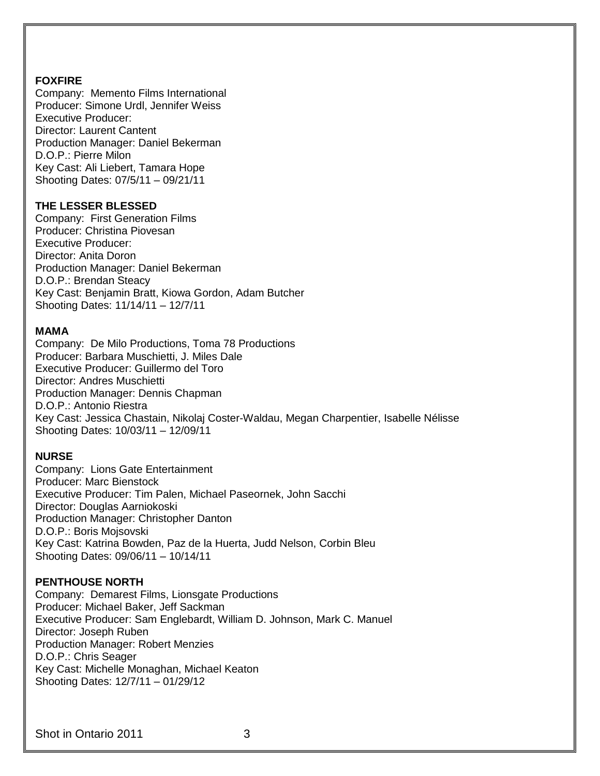# **FOXFIRE**

Company: Memento Films International Producer: Simone Urdl, Jennifer Weiss Executive Producer: Director: Laurent Cantent Production Manager: Daniel Bekerman D.O.P.: Pierre Milon Key Cast: Ali Liebert, Tamara Hope Shooting Dates: 07/5/11 – 09/21/11

#### **THE LESSER BLESSED**

Company: First Generation Films Producer: Christina Piovesan Executive Producer: Director: Anita Doron Production Manager: Daniel Bekerman D.O.P.: Brendan Steacy Key Cast: Benjamin Bratt, Kiowa Gordon, Adam Butcher Shooting Dates: 11/14/11 – 12/7/11

#### **MAMA**

Company: De Milo Productions, Toma 78 Productions Producer: Barbara Muschietti, J. Miles Dale Executive Producer: Guillermo del Toro Director: Andres Muschietti Production Manager: Dennis Chapman D.O.P.: Antonio Riestra Key Cast: Jessica Chastain, Nikolaj Coster-Waldau, Megan Charpentier, Isabelle Nélisse Shooting Dates: 10/03/11 – 12/09/11

#### **NURSE**

Company: Lions Gate Entertainment Producer: Marc Bienstock Executive Producer: Tim Palen, Michael Paseornek, John Sacchi Director: Douglas Aarniokoski Production Manager: Christopher Danton D.O.P.: Boris Mojsovski Key Cast: Katrina Bowden, Paz de la Huerta, Judd Nelson, Corbin Bleu Shooting Dates: 09/06/11 – 10/14/11

#### **PENTHOUSE NORTH**

Company: Demarest Films, Lionsgate Productions Producer: Michael Baker, Jeff Sackman Executive Producer: Sam Englebardt, William D. Johnson, Mark C. Manuel Director: Joseph Ruben Production Manager: Robert Menzies D.O.P.: Chris Seager Key Cast: Michelle Monaghan, Michael Keaton Shooting Dates: 12/7/11 – 01/29/12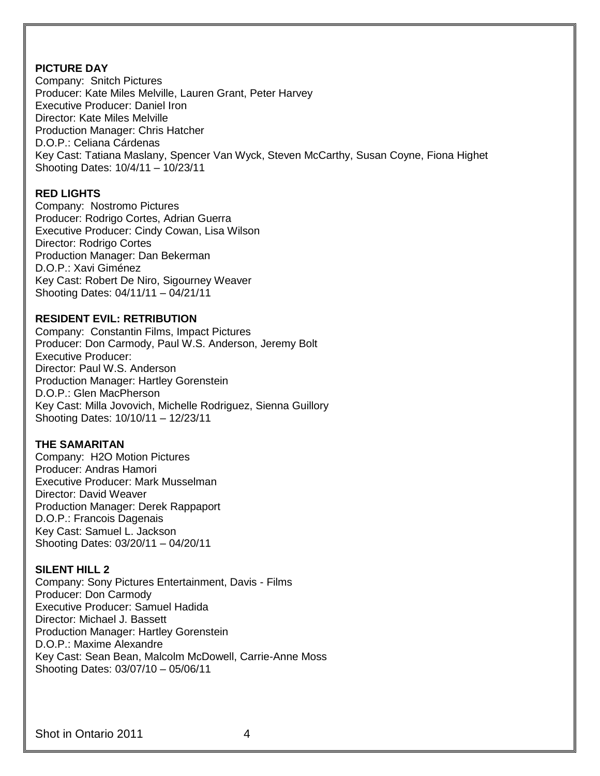#### **PICTURE DAY**

Company: Snitch Pictures Producer: Kate Miles Melville, Lauren Grant, Peter Harvey Executive Producer: Daniel Iron Director: Kate Miles Melville Production Manager: Chris Hatcher D.O.P.: Celiana Cárdenas Key Cast: Tatiana Maslany, Spencer Van Wyck, Steven McCarthy, Susan Coyne, Fiona Highet Shooting Dates: 10/4/11 – 10/23/11

#### **RED LIGHTS**

Company: Nostromo Pictures Producer: Rodrigo Cortes, Adrian Guerra Executive Producer: Cindy Cowan, Lisa Wilson Director: Rodrigo Cortes Production Manager: Dan Bekerman D.O.P.: Xavi Giménez Key Cast: Robert De Niro, Sigourney Weaver Shooting Dates: 04/11/11 – 04/21/11

#### **RESIDENT EVIL: RETRIBUTION**

Company: Constantin Films, Impact Pictures Producer: Don Carmody, Paul W.S. Anderson, Jeremy Bolt Executive Producer: Director: Paul W.S. Anderson Production Manager: Hartley Gorenstein D.O.P.: Glen MacPherson Key Cast: Milla Jovovich, Michelle Rodriguez, Sienna Guillory Shooting Dates: 10/10/11 – 12/23/11

#### **THE SAMARITAN**

Company: H2O Motion Pictures Producer: Andras Hamori Executive Producer: Mark Musselman Director: David Weaver Production Manager: Derek Rappaport D.O.P.: Francois Dagenais Key Cast: Samuel L. Jackson Shooting Dates: 03/20/11 – 04/20/11

#### **SILENT HILL 2**

Company: Sony Pictures Entertainment, Davis - Films Producer: Don Carmody Executive Producer: Samuel Hadida Director: Michael J. Bassett Production Manager: Hartley Gorenstein D.O.P.: Maxime Alexandre Key Cast: Sean Bean, Malcolm McDowell, Carrie-Anne Moss Shooting Dates: 03/07/10 – 05/06/11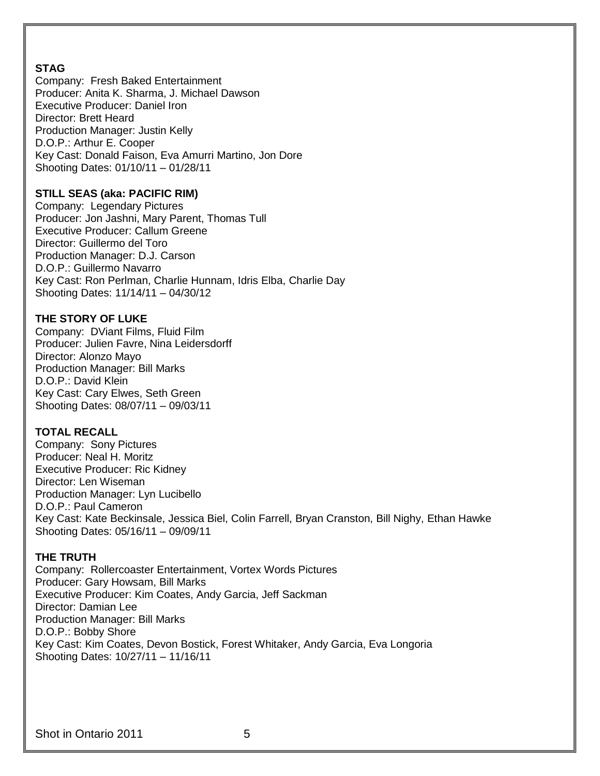# **STAG**

Company: Fresh Baked Entertainment Producer: Anita K. Sharma, J. Michael Dawson Executive Producer: Daniel Iron Director: Brett Heard Production Manager: Justin Kelly D.O.P.: Arthur E. Cooper Key Cast: Donald Faison, Eva Amurri Martino, Jon Dore Shooting Dates: 01/10/11 – 01/28/11

### **STILL SEAS (aka: PACIFIC RIM)**

Company: Legendary Pictures Producer: Jon Jashni, Mary Parent, Thomas Tull Executive Producer: Callum Greene Director: Guillermo del Toro Production Manager: D.J. Carson D.O.P.: Guillermo Navarro Key Cast: Ron Perlman, Charlie Hunnam, Idris Elba, Charlie Day Shooting Dates: 11/14/11 – 04/30/12

# **THE STORY OF LUKE**

Company: DViant Films, Fluid Film Producer: Julien Favre, Nina Leidersdorff Director: Alonzo Mayo Production Manager: Bill Marks D.O.P.: David Klein Key Cast: Cary Elwes, Seth Green Shooting Dates: 08/07/11 – 09/03/11

# **TOTAL RECALL**

Company: Sony Pictures Producer: Neal H. Moritz Executive Producer: Ric Kidney Director: Len Wiseman Production Manager: Lyn Lucibello D.O.P.: Paul Cameron Key Cast: Kate Beckinsale, Jessica Biel, Colin Farrell, Bryan Cranston, Bill Nighy, Ethan Hawke Shooting Dates: 05/16/11 – 09/09/11

#### **THE TRUTH**

Company: Rollercoaster Entertainment, Vortex Words Pictures Producer: Gary Howsam, Bill Marks Executive Producer: Kim Coates, Andy Garcia, Jeff Sackman Director: Damian Lee Production Manager: Bill Marks D.O.P.: Bobby Shore Key Cast: Kim Coates, Devon Bostick, Forest Whitaker, Andy Garcia, Eva Longoria Shooting Dates: 10/27/11 – 11/16/11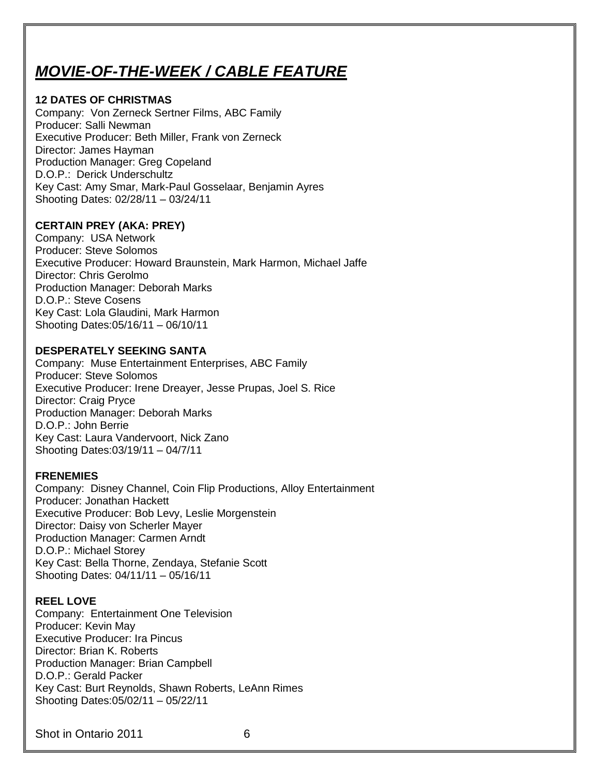# *MOVIE-OF-THE-WEEK / CABLE FEATURE*

# **12 DATES OF CHRISTMAS**

Company: Von Zerneck Sertner Films, ABC Family Producer: Salli Newman Executive Producer: Beth Miller, Frank von Zerneck Director: James Hayman Production Manager: Greg Copeland D.O.P.: Derick Underschultz Key Cast: Amy Smar, Mark-Paul Gosselaar, Benjamin Ayres Shooting Dates: 02/28/11 – 03/24/11

#### **CERTAIN PREY (AKA: PREY)**

Company: USA Network Producer: Steve Solomos Executive Producer: Howard Braunstein, Mark Harmon, Michael Jaffe Director: Chris Gerolmo Production Manager: Deborah Marks D.O.P.: Steve Cosens Key Cast: Lola Glaudini, Mark Harmon Shooting Dates:05/16/11 – 06/10/11

# **DESPERATELY SEEKING SANTA**

Company: Muse Entertainment Enterprises, ABC Family Producer: Steve Solomos Executive Producer: Irene Dreayer, Jesse Prupas, Joel S. Rice Director: Craig Pryce Production Manager: Deborah Marks D.O.P.: John Berrie Key Cast: Laura Vandervoort, Nick Zano Shooting Dates:03/19/11 – 04/7/11

#### **FRENEMIES**

Company: Disney Channel, Coin Flip Productions, Alloy Entertainment Producer: Jonathan Hackett Executive Producer: Bob Levy, Leslie Morgenstein Director: Daisy von Scherler Mayer Production Manager: Carmen Arndt D.O.P.: Michael Storey Key Cast: Bella Thorne, Zendaya, Stefanie Scott Shooting Dates: 04/11/11 – 05/16/11

#### **REEL LOVE**

Company: Entertainment One Television Producer: Kevin May Executive Producer: Ira Pincus Director: Brian K. Roberts Production Manager: Brian Campbell D.O.P.: Gerald Packer Key Cast: Burt Reynolds, Shawn Roberts, LeAnn Rimes Shooting Dates:05/02/11 – 05/22/11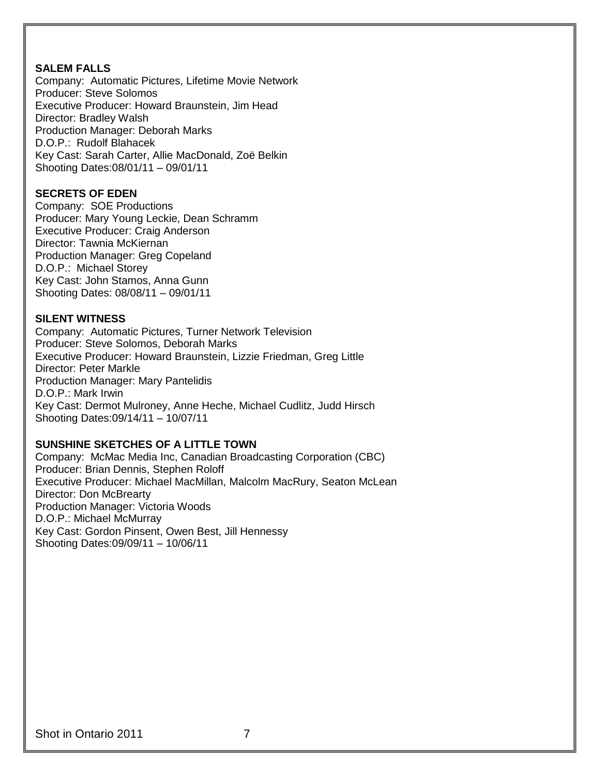#### **SALEM FALLS**

Company: Automatic Pictures, Lifetime Movie Network Producer: Steve Solomos Executive Producer: Howard Braunstein, Jim Head Director: Bradley Walsh Production Manager: Deborah Marks D.O.P.: Rudolf Blahacek Key Cast: Sarah Carter, Allie MacDonald, Zoë Belkin Shooting Dates:08/01/11 – 09/01/11

# **SECRETS OF EDEN**

Company: SOE Productions Producer: Mary Young Leckie, Dean Schramm Executive Producer: Craig Anderson Director: Tawnia McKiernan Production Manager: Greg Copeland D.O.P.: Michael Storey Key Cast: John Stamos, Anna Gunn Shooting Dates: 08/08/11 – 09/01/11

# **SILENT WITNESS**

Company: Automatic Pictures, Turner Network Television Producer: Steve Solomos, Deborah Marks Executive Producer: Howard Braunstein, Lizzie Friedman, Greg Little Director: Peter Markle Production Manager: Mary Pantelidis D.O.P.: Mark Irwin Key Cast: Dermot Mulroney, Anne Heche, Michael Cudlitz, Judd Hirsch Shooting Dates:09/14/11 – 10/07/11

# **SUNSHINE SKETCHES OF A LITTLE TOWN**

Company: McMac Media Inc, Canadian Broadcasting Corporation (CBC) Producer: Brian Dennis, Stephen Roloff Executive Producer: Michael MacMillan, Malcolm MacRury, Seaton McLean Director: Don McBrearty Production Manager: Victoria Woods D.O.P.: Michael McMurray Key Cast: Gordon Pinsent, Owen Best, Jill Hennessy Shooting Dates:09/09/11 – 10/06/11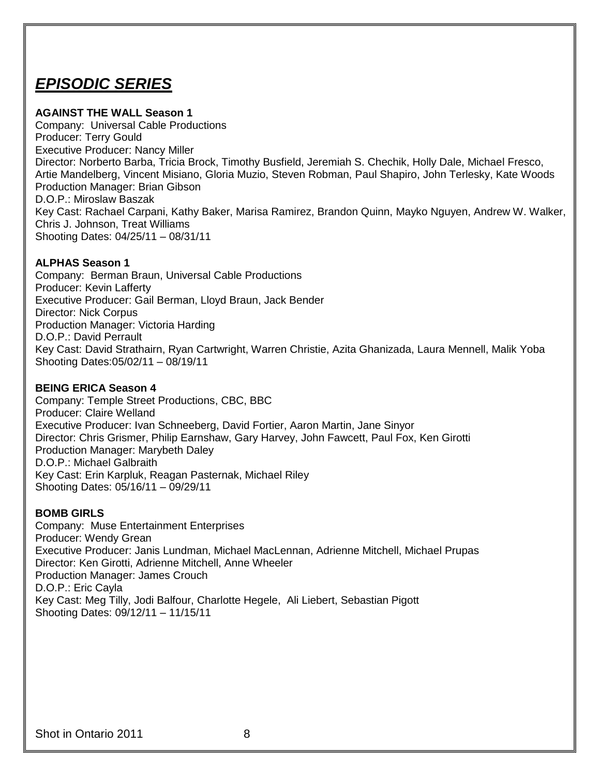# *EPISODIC SERIES*

# **AGAINST THE WALL Season 1**

Company: Universal Cable Productions Producer: Terry Gould Executive Producer: Nancy Miller Director: Norberto Barba, Tricia Brock, Timothy Busfield, Jeremiah S. Chechik, Holly Dale, Michael Fresco, Artie Mandelberg, Vincent Misiano, Gloria Muzio, Steven Robman, Paul Shapiro, John Terlesky, Kate Woods Production Manager: Brian Gibson D.O.P.: Miroslaw Baszak Key Cast: Rachael Carpani, Kathy Baker, Marisa Ramirez, Brandon Quinn, Mayko Nguyen, Andrew W. Walker, Chris J. Johnson, Treat Williams Shooting Dates: 04/25/11 – 08/31/11

# **ALPHAS Season 1**

Company: Berman Braun, Universal Cable Productions Producer: Kevin Lafferty Executive Producer: Gail Berman, Lloyd Braun, Jack Bender Director: Nick Corpus Production Manager: Victoria Harding D.O.P.: David Perrault Key Cast: David Strathairn, Ryan Cartwright, Warren Christie, Azita Ghanizada, Laura Mennell, Malik Yoba Shooting Dates:05/02/11 – 08/19/11

# **BEING ERICA Season 4**

Company: Temple Street Productions, CBC, BBC Producer: Claire Welland Executive Producer: Ivan Schneeberg, David Fortier, Aaron Martin, Jane Sinyor Director: Chris Grismer, Philip Earnshaw, Gary Harvey, John Fawcett, Paul Fox, Ken Girotti Production Manager: Marybeth Daley D.O.P.: Michael Galbraith Key Cast: Erin Karpluk, Reagan Pasternak, Michael Riley Shooting Dates: 05/16/11 – 09/29/11

# **BOMB GIRLS**

Company: Muse Entertainment Enterprises Producer: Wendy Grean Executive Producer: Janis Lundman, Michael MacLennan, Adrienne Mitchell, Michael Prupas Director: Ken Girotti, Adrienne Mitchell, Anne Wheeler Production Manager: James Crouch D.O.P.: Eric Cayla Key Cast: Meg Tilly, Jodi Balfour, Charlotte Hegele, Ali Liebert, Sebastian Pigott Shooting Dates: 09/12/11 – 11/15/11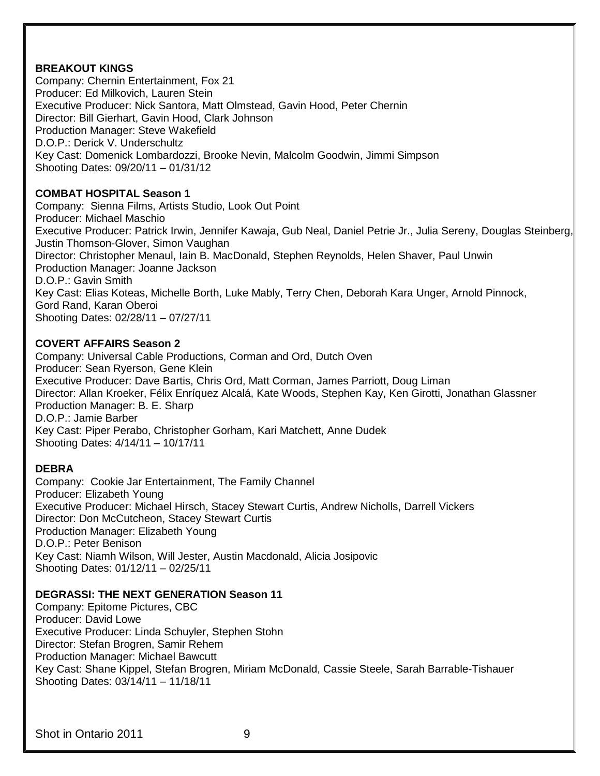# **BREAKOUT KINGS**

Company: Chernin Entertainment, Fox 21 Producer: Ed Milkovich, Lauren Stein Executive Producer: Nick Santora, Matt Olmstead, Gavin Hood, Peter Chernin Director: Bill Gierhart, Gavin Hood, Clark Johnson Production Manager: Steve Wakefield D.O.P.: Derick V. Underschultz Key Cast: Domenick Lombardozzi, Brooke Nevin, Malcolm Goodwin, Jimmi Simpson Shooting Dates: 09/20/11 – 01/31/12

# **COMBAT HOSPITAL Season 1**

Company: Sienna Films, Artists Studio, Look Out Point Producer: Michael Maschio Executive Producer: Patrick Irwin, Jennifer Kawaja, Gub Neal, Daniel Petrie Jr., Julia Sereny, Douglas Steinberg, Justin Thomson-Glover, Simon Vaughan Director: Christopher Menaul, Iain B. MacDonald, Stephen Reynolds, Helen Shaver, Paul Unwin Production Manager: Joanne Jackson D.O.P.: Gavin Smith Key Cast: Elias Koteas, Michelle Borth, Luke Mably, Terry Chen, Deborah Kara Unger, Arnold Pinnock, Gord Rand, Karan Oberoi Shooting Dates: 02/28/11 – 07/27/11

# **COVERT AFFAIRS Season 2**

Company: Universal Cable Productions, Corman and Ord, Dutch Oven Producer: Sean Ryerson, Gene Klein Executive Producer: Dave Bartis, Chris Ord, Matt Corman, James Parriott, Doug Liman Director: Allan Kroeker, Félix Enríquez Alcalá, Kate Woods, Stephen Kay, Ken Girotti, Jonathan Glassner Production Manager: B. E. Sharp D.O.P.: Jamie Barber Key Cast: Piper Perabo, Christopher Gorham, Kari Matchett, Anne Dudek Shooting Dates: 4/14/11 – 10/17/11

# **DEBRA**

Company: Cookie Jar Entertainment, The Family Channel Producer: Elizabeth Young Executive Producer: Michael Hirsch, Stacey Stewart Curtis, Andrew Nicholls, Darrell Vickers Director: Don McCutcheon, Stacey Stewart Curtis Production Manager: Elizabeth Young D.O.P.: Peter Benison Key Cast: Niamh Wilson, Will Jester, Austin Macdonald, Alicia Josipovic Shooting Dates: 01/12/11 – 02/25/11

# **DEGRASSI: THE NEXT GENERATION Season 11**

Company: Epitome Pictures, CBC Producer: David Lowe Executive Producer: Linda Schuyler, Stephen Stohn Director: Stefan Brogren, Samir Rehem Production Manager: Michael Bawcutt Key Cast: Shane Kippel, Stefan Brogren, Miriam McDonald, Cassie Steele, Sarah Barrable-Tishauer Shooting Dates: 03/14/11 – 11/18/11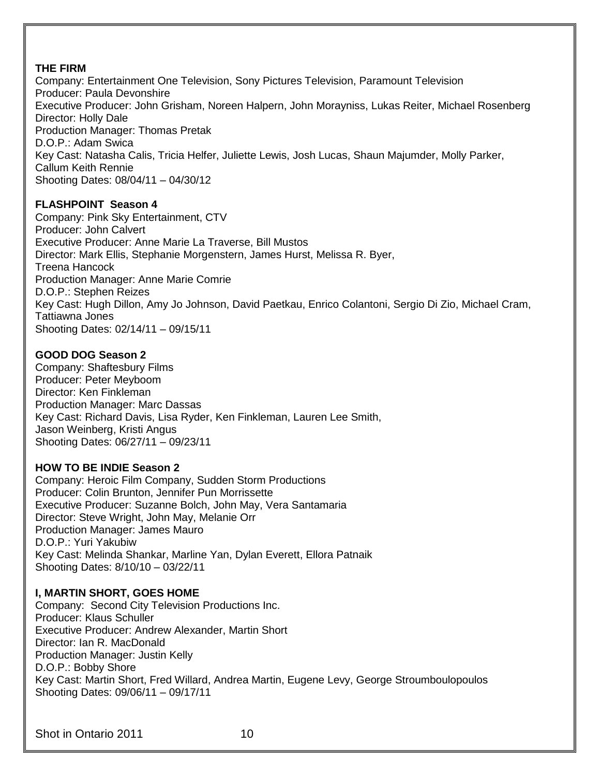# **THE FIRM**

Company: Entertainment One Television, Sony Pictures Television, Paramount Television Producer: Paula Devonshire Executive Producer: John Grisham, Noreen Halpern, John Morayniss, Lukas Reiter, Michael Rosenberg Director: Holly Dale Production Manager: Thomas Pretak D.O.P.: Adam Swica Key Cast: Natasha Calis, Tricia Helfer, Juliette Lewis, Josh Lucas, Shaun Majumder, Molly Parker, Callum Keith Rennie Shooting Dates: 08/04/11 – 04/30/12

# **FLASHPOINT Season 4**

Company: Pink Sky Entertainment, CTV Producer: John Calvert Executive Producer: Anne Marie La Traverse, Bill Mustos Director: Mark Ellis, Stephanie Morgenstern, James Hurst, Melissa R. Byer, Treena Hancock Production Manager: Anne Marie Comrie D.O.P.: Stephen Reizes Key Cast: Hugh Dillon, Amy Jo Johnson, David Paetkau, Enrico Colantoni, Sergio Di Zio, Michael Cram, Tattiawna Jones Shooting Dates: 02/14/11 – 09/15/11

# **GOOD DOG Season 2**

Company: Shaftesbury Films Producer: Peter Meyboom Director: Ken Finkleman Production Manager: Marc Dassas Key Cast: Richard Davis, Lisa Ryder, Ken Finkleman, Lauren Lee Smith, Jason Weinberg, Kristi Angus Shooting Dates: 06/27/11 – 09/23/11

# **HOW TO BE INDIE Season 2**

Company: Heroic Film Company, Sudden Storm Productions Producer: Colin Brunton, Jennifer Pun Morrissette Executive Producer: Suzanne Bolch, John May, Vera Santamaria Director: Steve Wright, John May, Melanie Orr Production Manager: James Mauro D.O.P.: Yuri Yakubiw Key Cast: Melinda Shankar, Marline Yan, Dylan Everett, Ellora Patnaik Shooting Dates: 8/10/10 – 03/22/11

# **I, MARTIN SHORT, GOES HOME**

Company: Second City Television Productions Inc. Producer: Klaus Schuller Executive Producer: Andrew Alexander, Martin Short Director: Ian R. MacDonald Production Manager: Justin Kelly D.O.P.: Bobby Shore Key Cast: Martin Short, Fred Willard, Andrea Martin, Eugene Levy, George Stroumboulopoulos Shooting Dates: 09/06/11 – 09/17/11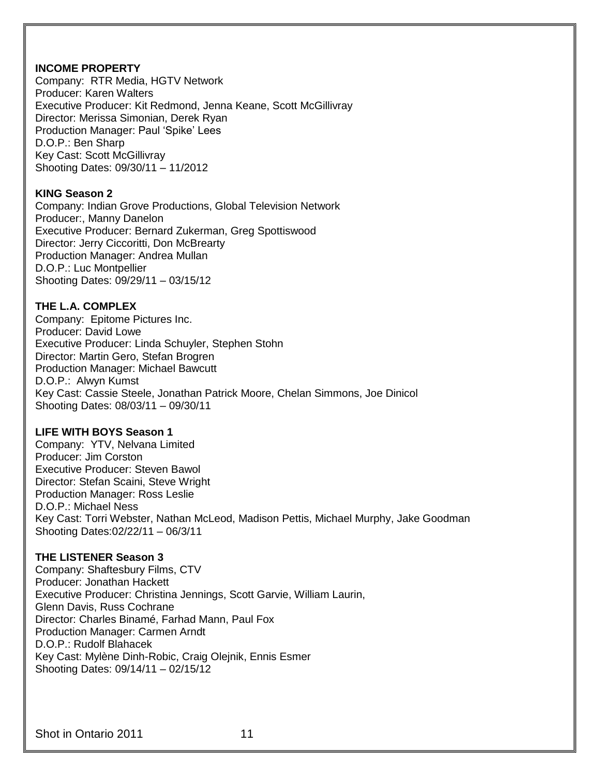#### **INCOME PROPERTY**

Company: RTR Media, HGTV Network Producer: Karen Walters Executive Producer: Kit Redmond, Jenna Keane, Scott McGillivray Director: Merissa Simonian, Derek Ryan Production Manager: Paul 'Spike' Lees D.O.P.: Ben Sharp Key Cast: Scott McGillivray Shooting Dates: 09/30/11 – 11/2012

#### **KING Season 2**

Company: Indian Grove Productions, Global Television Network Producer:, Manny Danelon Executive Producer: Bernard Zukerman, Greg Spottiswood Director: Jerry Ciccoritti, Don McBrearty Production Manager: Andrea Mullan D.O.P.: Luc Montpellier Shooting Dates: 09/29/11 – 03/15/12

# **THE L.A. COMPLEX**

Company: Epitome Pictures Inc. Producer: David Lowe Executive Producer: Linda Schuyler, Stephen Stohn Director: Martin Gero, Stefan Brogren Production Manager: Michael Bawcutt D.O.P.: Alwyn Kumst Key Cast: Cassie Steele, Jonathan Patrick Moore, Chelan Simmons, Joe Dinicol Shooting Dates: 08/03/11 – 09/30/11

# **LIFE WITH BOYS Season 1**

Company: YTV, Nelvana Limited Producer: Jim Corston Executive Producer: Steven Bawol Director: Stefan Scaini, Steve Wright Production Manager: Ross Leslie D.O.P.: Michael Ness Key Cast: Torri Webster, Nathan McLeod, Madison Pettis, Michael Murphy, Jake Goodman Shooting Dates:02/22/11 – 06/3/11

#### **THE LISTENER Season 3**

Company: Shaftesbury Films, CTV Producer: Jonathan Hackett Executive Producer: Christina Jennings, Scott Garvie, William Laurin, Glenn Davis, Russ Cochrane Director: Charles Binamé, Farhad Mann, Paul Fox Production Manager: Carmen Arndt D.O.P.: Rudolf Blahacek Key Cast: Mylène Dinh-Robic, Craig Olejnik, Ennis Esmer Shooting Dates: 09/14/11 – 02/15/12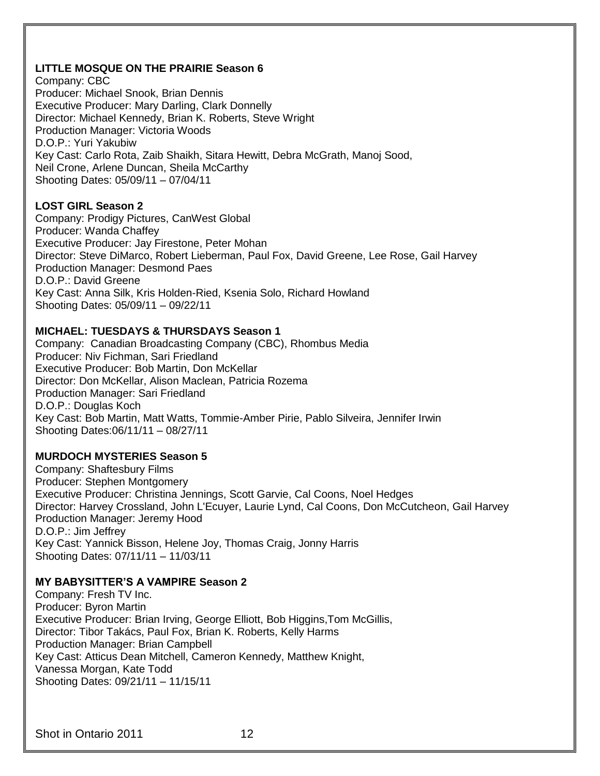### **LITTLE MOSQUE ON THE PRAIRIE Season 6**

Company: CBC Producer: Michael Snook, Brian Dennis Executive Producer: Mary Darling, Clark Donnelly Director: Michael Kennedy, Brian K. Roberts, Steve Wright Production Manager: Victoria Woods D.O.P.: Yuri Yakubiw Key Cast: Carlo Rota, Zaib Shaikh, Sitara Hewitt, Debra McGrath, Manoj Sood, Neil Crone, Arlene Duncan, Sheila McCarthy Shooting Dates: 05/09/11 – 07/04/11

#### **LOST GIRL Season 2**

Company: Prodigy Pictures, CanWest Global Producer: Wanda Chaffey Executive Producer: Jay Firestone, Peter Mohan Director: Steve DiMarco, Robert Lieberman, Paul Fox, David Greene, Lee Rose, Gail Harvey Production Manager: Desmond Paes D.O.P.: David Greene Key Cast: Anna Silk, Kris Holden-Ried, Ksenia Solo, Richard Howland Shooting Dates: 05/09/11 – 09/22/11

# **MICHAEL: TUESDAYS & THURSDAYS Season 1**

Company: Canadian Broadcasting Company (CBC), Rhombus Media Producer: Niv Fichman, Sari Friedland Executive Producer: Bob Martin, Don McKellar Director: Don McKellar, Alison Maclean, Patricia Rozema Production Manager: Sari Friedland D.O.P.: Douglas Koch Key Cast: Bob Martin, Matt Watts, Tommie-Amber Pirie, Pablo Silveira, Jennifer Irwin Shooting Dates:06/11/11 – 08/27/11

#### **MURDOCH MYSTERIES Season 5**

Company: Shaftesbury Films Producer: Stephen Montgomery Executive Producer: Christina Jennings, Scott Garvie, Cal Coons, Noel Hedges Director: Harvey Crossland, John L'Ecuyer, Laurie Lynd, Cal Coons, Don McCutcheon, Gail Harvey Production Manager: Jeremy Hood D.O.P.: Jim Jeffrey Key Cast: Yannick Bisson, Helene Joy, Thomas Craig, Jonny Harris Shooting Dates: 07/11/11 – 11/03/11

#### **MY BABYSITTER'S A VAMPIRE Season 2**

Company: Fresh TV Inc. Producer: Byron Martin Executive Producer: Brian Irving, George Elliott, Bob Higgins,Tom McGillis, Director: Tibor Takács, Paul Fox, Brian K. Roberts, Kelly Harms Production Manager: Brian Campbell Key Cast: Atticus Dean Mitchell, Cameron Kennedy, Matthew Knight, Vanessa Morgan, Kate Todd Shooting Dates: 09/21/11 – 11/15/11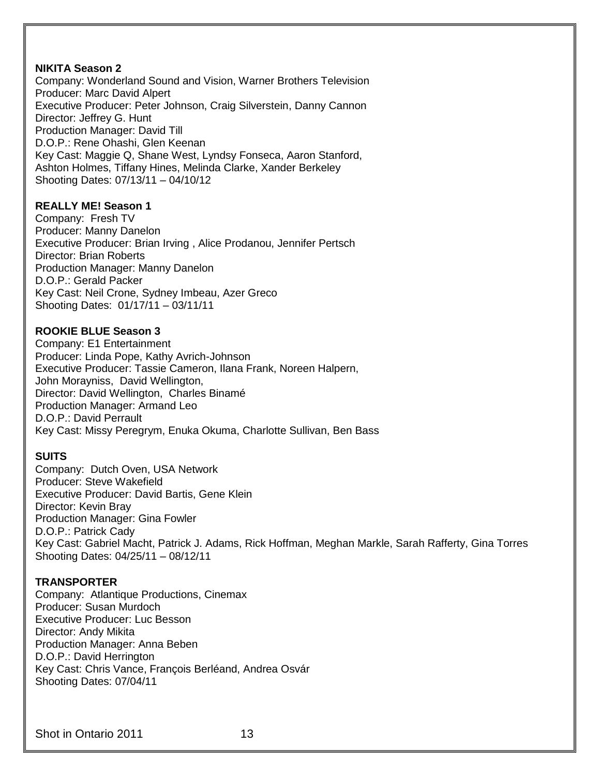#### **NIKITA Season 2**

Company: Wonderland Sound and Vision, Warner Brothers Television Producer: Marc David Alpert Executive Producer: Peter Johnson, Craig Silverstein, Danny Cannon Director: Jeffrey G. Hunt Production Manager: David Till D.O.P.: Rene Ohashi, Glen Keenan Key Cast: Maggie Q, Shane West, Lyndsy Fonseca, Aaron Stanford, Ashton Holmes, Tiffany Hines, Melinda Clarke, Xander Berkeley Shooting Dates: 07/13/11 – 04/10/12

#### **REALLY ME! Season 1**

Company: Fresh TV Producer: Manny Danelon Executive Producer: Brian Irving , Alice Prodanou, Jennifer Pertsch Director: Brian Roberts Production Manager: Manny Danelon D.O.P.: Gerald Packer Key Cast: Neil Crone, Sydney Imbeau, Azer Greco Shooting Dates: 01/17/11 – 03/11/11

#### **ROOKIE BLUE Season 3**

Company: E1 Entertainment Producer: Linda Pope, Kathy Avrich-Johnson Executive Producer: Tassie Cameron, Ilana Frank, Noreen Halpern, John Morayniss, David Wellington, Director: David Wellington, Charles Binamé Production Manager: Armand Leo D.O.P.: David Perrault Key Cast: Missy Peregrym, Enuka Okuma, Charlotte Sullivan, Ben Bass

#### **SUITS**

Company: Dutch Oven, USA Network Producer: Steve Wakefield Executive Producer: David Bartis, Gene Klein Director: Kevin Bray Production Manager: Gina Fowler D.O.P.: Patrick Cady Key Cast: Gabriel Macht, Patrick J. Adams, Rick Hoffman, Meghan Markle, Sarah Rafferty, Gina Torres Shooting Dates: 04/25/11 – 08/12/11

#### **TRANSPORTER**

Company: Atlantique Productions, Cinemax Producer: Susan Murdoch Executive Producer: Luc Besson Director: Andy Mikita Production Manager: Anna Beben D.O.P.: David Herrington Key Cast: Chris Vance, François Berléand, Andrea Osvár Shooting Dates: 07/04/11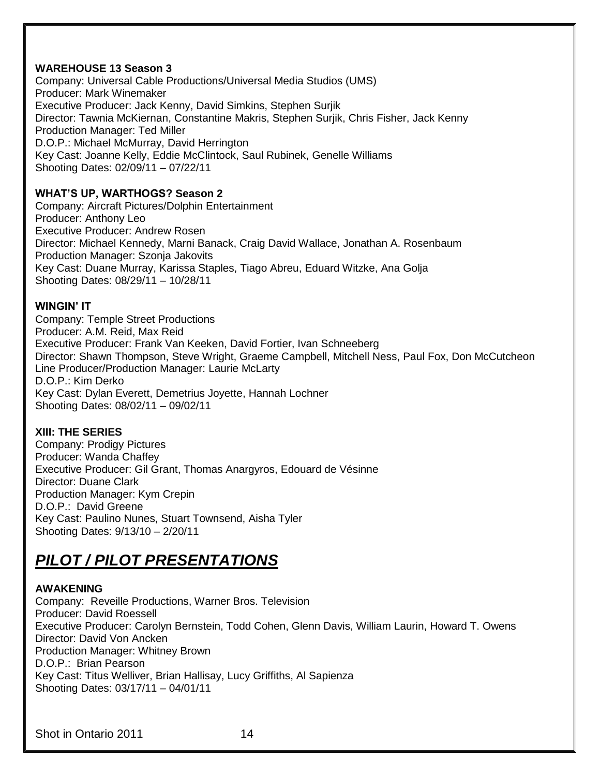### **WAREHOUSE 13 Season 3**

Company: Universal Cable Productions/Universal Media Studios (UMS) Producer: Mark Winemaker Executive Producer: Jack Kenny, David Simkins, Stephen Surjik Director: Tawnia McKiernan, Constantine Makris, Stephen Surjik, Chris Fisher, Jack Kenny Production Manager: Ted Miller D.O.P.: Michael McMurray, David Herrington Key Cast: Joanne Kelly, Eddie McClintock, Saul Rubinek, Genelle Williams Shooting Dates: 02/09/11 – 07/22/11

# **WHAT'S UP, WARTHOGS? Season 2**

Company: Aircraft Pictures/Dolphin Entertainment Producer: Anthony Leo Executive Producer: Andrew Rosen Director: Michael Kennedy, Marni Banack, Craig David Wallace, Jonathan A. Rosenbaum Production Manager: Szonja Jakovits Key Cast: Duane Murray, Karissa Staples, Tiago Abreu, Eduard Witzke, Ana Golja Shooting Dates: 08/29/11 – 10/28/11

# **WINGIN' IT**

Company: Temple Street Productions Producer: A.M. Reid, Max Reid Executive Producer: Frank Van Keeken, David Fortier, Ivan Schneeberg Director: Shawn Thompson, Steve Wright, Graeme Campbell, Mitchell Ness, Paul Fox, Don McCutcheon Line Producer/Production Manager: Laurie McLarty D.O.P.: Kim Derko Key Cast: Dylan Everett, Demetrius Joyette, Hannah Lochner Shooting Dates: 08/02/11 – 09/02/11

# **XIII: THE SERIES**

Company: Prodigy Pictures Producer: Wanda Chaffey Executive Producer: Gil Grant, Thomas Anargyros, Edouard de Vésinne Director: Duane Clark Production Manager: Kym Crepin D.O.P.: David Greene Key Cast: Paulino Nunes, Stuart Townsend, Aisha Tyler Shooting Dates: 9/13/10 – 2/20/11

# *PILOT / PILOT PRESENTATIONS*

# **AWAKENING**

Company: Reveille Productions, Warner Bros. Television Producer: David Roessell Executive Producer: Carolyn Bernstein, Todd Cohen, Glenn Davis, William Laurin, Howard T. Owens Director: David Von Ancken Production Manager: Whitney Brown D.O.P.: Brian Pearson Key Cast: Titus Welliver, Brian Hallisay, Lucy Griffiths, Al Sapienza Shooting Dates: 03/17/11 – 04/01/11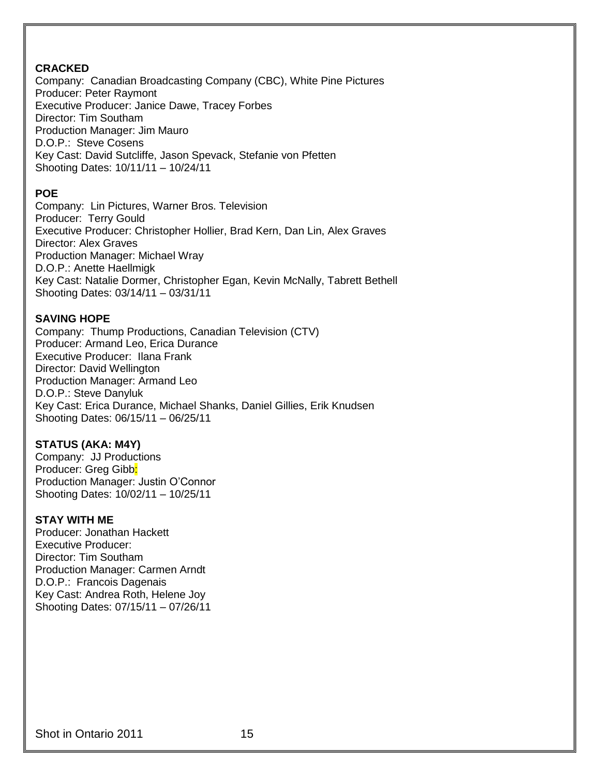# **CRACKED**

Company: Canadian Broadcasting Company (CBC), White Pine Pictures Producer: Peter Raymont Executive Producer: Janice Dawe, Tracey Forbes Director: Tim Southam Production Manager: Jim Mauro D.O.P.: Steve Cosens Key Cast: David Sutcliffe, Jason Spevack, Stefanie von Pfetten Shooting Dates: 10/11/11 – 10/24/11

# **POE**

Company: Lin Pictures, Warner Bros. Television Producer: Terry Gould Executive Producer: Christopher Hollier, Brad Kern, Dan Lin, Alex Graves Director: Alex Graves Production Manager: Michael Wray D.O.P.: Anette Haellmigk Key Cast: Natalie Dormer, Christopher Egan, Kevin McNally, Tabrett Bethell Shooting Dates: 03/14/11 – 03/31/11

# **SAVING HOPE**

Company: Thump Productions, Canadian Television (CTV) Producer: Armand Leo, Erica Durance Executive Producer: Ilana Frank Director: David Wellington Production Manager: Armand Leo D.O.P.: Steve Danyluk Key Cast: Erica Durance, Michael Shanks, Daniel Gillies, Erik Knudsen Shooting Dates: 06/15/11 – 06/25/11

# **STATUS (AKA: M4Y)**

Company: JJ Productions Producer: Greg Gibb: Production Manager: Justin O'Connor Shooting Dates: 10/02/11 – 10/25/11

# **STAY WITH ME**

Producer: Jonathan Hackett Executive Producer: Director: Tim Southam Production Manager: Carmen Arndt D.O.P.: Francois Dagenais Key Cast: Andrea Roth, Helene Joy Shooting Dates: 07/15/11 – 07/26/11